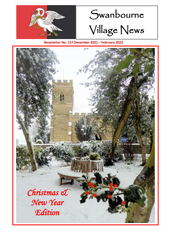

# Swanbourne Village News

**Newsletter No. 157 December 2021 – February 2022**

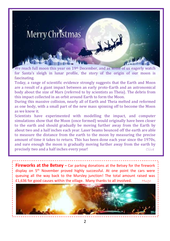

We reach full moon this year on 19th December, and as some of us eagerly watch for Santa's sleigh in lunar profile, the story of the origin of our moon is fascinating.

Today, a range of scientific evidence strongly suggests that the Earth and Moon are a result of a giant impact between an early proto-Earth and an astronomical body about the size of Mars (referred to by scientists as Theia). The debris from this impact collected in an orbit around Earth to form the Moon.

During this massive collision, nearly all of Earth and Theia melted and reformed as one body, with a small part of the new mass spinning off to become the Moon as we know it.

Scientists have experimented with modelling the impact, and computer simulations show that the Moon (once formed) would originally have been closer to the earth and should gradually be moving further away from the Earth by about two and a half inches each year. Laser beams bounced off the earth are able to measure the distance from the earth to the moon by measuring the precise amount of time it takes to return. This has been done each year since the 1970s, and sure enough the moon is gradually moving further away from the earth by **precisely two and a half inches every year!** The second section of the clive

**Fireworks at the Betsey –** Car parking donations at the Betsey for the firework display on 5<sup>th</sup> November proved highly successful. At one point the cars were queuing all the way back to the Mursley junction! The total amount raised was £1,636 for good causes within the village. Many thanks to all involved. Hugo

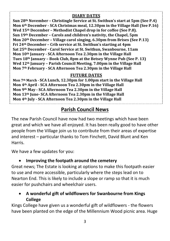#### **DIARY DATES**

**Sun 28th November – Christingle Service at St. Swithun's start at 5pm (See P.4) Mon 6th December - SCA Christmas meal, 12.30pm in the Village Hall (See P.16) Wed 15th December – Methodist Chapel drop in for coffee (See P.8). Sun 19th December – Carols and children's nativity, the Chapel, 5pm Mon 20th December – Village carol singing, 6.30pm from Brises (See P.13) Fri 24th December – Crib service at St. Swithun's starting at 4pm Sat 25th December - Carol Service at St. Swithun, Swanbourne, 11am Mon 10th January - SCA Afternoon Tea 2.30pm in the Village Hall Tues 18th January – Book Club, 8pm at the Betsey Wynne Pub (See P. 13) Wed 12th January – Parish Council Meeting, 7.00pm in the Village Hall Mon 7th February - SCA Afternoon Tea 2.30pm in the Village Hall**

#### **FUTURE DATES**

**Mon 7th March - SCA Lunch, 12.30pm for 1.00pm start in the Village Hall Mon 4th April - SCA Afternoon Tea 2.30pm in the Village Hall Mon 9th May - SCA Afternoon Tea 2.30pm in the Village Hall Mon 13th June- SCA Afternoon Tea 2.30pm in the Village Hall Mon 4th July - SCA Afternoon Tea 2.30pm in the Village Hall**

# **Parish Council News**

The new Parish Council have now had two meetings which have been great and which we have all enjoyed. It has been really good to have other people from the Village join us to contribute from their areas of expertise and interest – particular thanks to Tom Finchett, David Blunt and Ken Harris.

We have a few updates for you:

#### • **Improving the footpath around the cemetery**

Great news; The Estate is looking at options to make this footpath easier to use and more accessible, particularly where the steps lead on to Nearton End. This is likely to include a slope or ramp so that it is much easier for pushchairs and wheelchair users.

#### • **A wonderful gift of wildflowers for Swanbourne from Kings College**

Kings College have given us a wonderful gift of wildflowers - the flowers have been planted on the edge of the Millennium Wood picnic area. Huge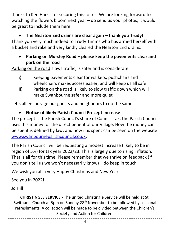thanks to Ken Harris for securing this for us. We are looking forward to watching the flowers bloom next year – do send us your photos; it would be great to include them here.

• **The Nearton End drains are clear again – thank you Trudy!** Thank you very much indeed to Trudy Timms who has armed herself with a bucket and rake and very kindly cleared the Nearton End drains.

#### • **Parking on Mursley Road – please keep the pavements clear and park on the road**

Parking on the road slows traffic, is safer and is considerate:

- i) Keeping pavements clear for walkers, pushchairs and wheelchairs makes access easier, and will keep us all safe
- ii) Parking on the road is likely to slow traffic down which will make Swanbourne safer and more quiet

Let's all encourage our guests and neighbours to do the same.

### • **Notice of likely Parish Council Precept increase**

The precept is the Parish Council's share of Council Tax; the Parish Council uses this money for the direct benefit of our Village. How the money can be spent is defined by law, and how it is spent can be seen on the website [www.swanbourneparishcouncil.co.uk.](http://www.swanbourneparishcouncil.co.uk/)

The Parish Council will be requesting a modest increase (likely to be in region of 5%) for tax year 2022/23. This is largely due to rising inflation. That is all for this time. Please remember that we thrive on feedback (if you don't tell us we won't necessarily know) – do keep in touch

We wish you all a very Happy Christmas and New Year.

See you in 2022!

Jo Hill

**CHRISTINGLE SERVICE -** The united Christingle Service will be held at St. Swithun's Church at 5pm on Sunday 28<sup>th</sup> November to be followed by seasonal refreshments. A collection will be made to be divided between the Children's Society and Action for Children.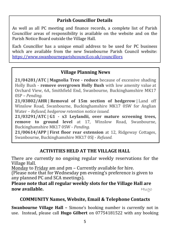#### **Parish Councillor Details**

As well as all PC meeting and finance records, a complete list of Parish Councillor areas of responsibility is available on the website and on the Parish Notice Board outside the Village Hall.

Each Councillor has a unique email address to be used for PC business which are available from the new Swanbourne Parish Council website: <https://www.swanbourneparishcouncil.co.uk/councillors>

#### **Village Planning News**

**21/04281/ATC | Magnolia Tree - reduce** because of excessive shading Holly Bush - **remove overgrown Holly Bush** with low amenity value at Orchard View, 6A, Smithfield End, Swanbourne, Buckinghamshire MK17 0SP – *Pending.*

**21/03802/AHR | Removal of 15m section of hedgerow** | Land off Winslow Road, Swanbourne, Buckinghamshire MK17 0SW for Anglian Water – *Refused, hedgerow retention notice issued.*

**21/03291/ATC | G1 - x3 Leylandii, over mature screening trees, remove to ground level** at 17, Winslow Road, Swanbourne, Buckinghamshire MK17 0SW - *Pending.*

**21/00614/APP | First floor rear extension** at 12, Ridgeway Cottages, Swanbourne, Buckinghamshire MK17 0SJ - *Refused.*

#### **ACTIVITIES HELD AT THE VILLAGE HALL**

There are currently no ongoing regular weekly reservations for the Village Hall.

Monday to Friday am and pm – Currently available for hire.

(Please note that for Wednesday pm evening's preference is given to any planned PC and SCA meetings).

#### **Please note that all regular weekly slots for the Village Hall are now available. Hugo**

#### **COMMUNITY Names, Website, Email & Telephone Contacts**

**Swanbourne Village Hall –** Simone's booking number is currently not in use. Instead, please call **Hugo Gilbert** on 07754181522 with any booking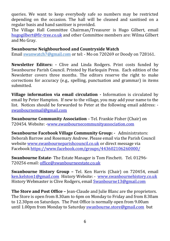queries. We want to keep everybody safe so numbers may be restricted depending on the occasion. The hall will be cleaned and sanitised on a regular basis and hand sanitiser is provided.

The Village Hall Committee Chairman/Treasurer is Hugo Gilbert, email [hugogilbert@fir-tree.co.uk](mailto:hugogilbert@fir-tree.co.uk) and other Committee members are: Wilma Gilbert and Mo Gray.

#### **Swanbourne Neighbourhood and Countryside Watch**

Email [swanwatch7@gmail.com](mailto:swanwatch7@gmail.com) or tel: - Mo on 720269 or Doody on 728161.

**Newsletter Editors: -** Clive and Linda Rodgers. Print costs funded by Swanbourne Parish Council. Printed by Harlequin Press. Each edition of the Newsletter covers three months. The editors reserve the right to make corrections for accuracy (e.g., spelling, punctuation and grammar) in items submitted.

**Village information via email circulation** *-* Information is circulated by email by Peter Hampton. If new to the village, you may add your name to the list. Notices should be forwarded to Peter at the following email address: [swanbournemail@gmail.com](mailto:swanbournemail@gmail.com)

**Swanbourne Community Association** – Tel. Frankie Fisher (Chair) on 720454. Website: [-www.swanbournecommunityassociation.com](http://www.swanbournecommunityassociation.com/)

**Swanbourne Facebook Village Community Group: -** Administrators: Deborah Barrow and Rosemary Andrew. Please email via the Parish Council website [www.swanbourneparishcouncil.co.uk](http://www.swanbourneparishcouncil.co.uk/) or direct message via Faceboo[k https://www.facebook.com/groups/443602106260000/](https://www.facebook.com/groups/443602106260000/)

**Swanbourne Estate**- The Estate Manager is Tom Finchett. Tel. 01296- 720256 email[: office@swanbourneestate.co.uk](mailto:office@swanbourneestate.co.uk)

**Swanbourne History Group –** Tel. Ken Harris (Chair) on 720454, email [ken.kelston1@gmail.com](mailto:ken.kelston1@gmail.com) History Website: - [www.swanbournehistory.co.uk](http://www.swanbournehistory.co.uk/) History Webmaster is Clive Rodgers, email [Swanbourne13@gmail.com](mailto:Swanbourne13@gmail.com)

**The Store and Post Office –** Jean-Claude and Julie Blanc are the proprietors. The Store is open from 8.30am to 6pm on Monday to Friday and from 8.30am to 12.30pm on Saturdays. The Post Office is normally open from 9.00am until 1.00pm from Monday to Saturday [swanbourne.store@gmail.com](mailto:swanbourne.store@gmail.com) but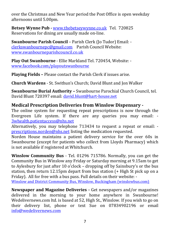over the Christmas and New Year period the Post Office is open weekday afternoons until 5.00pm.

**Betsey Wynne Pub -** [www.thebetseywynne.co.uk](http://www.thebetseywynne.co.uk/) Tel. 720825 Reservations for dining are usually made on-line.

**Swanbourne Parish Council** – Parish Clerk (Jo Tudor) Email: [clerkswanbournepc@gmail.com](mailto:clerkswanbournepc@gmail.com) Parish Council Website: [www.swanbourneparishcouncil.co.uk](http://www.swanbourneparishcouncil.co.uk/)

**Play Out Swanbourne** - Ellie Markland Tel. 720454, Website: [www.facebook.com/playoutswanbourne](http://www.facebook.com/playoutswanbourne)

**Playing Fields –** Please contact the Parish Clerk if issues arise.

**Church Wardens** - St. Swithun's Church; David Blunt and Jon Walker

**Swanbourne Burial Authority –** Swanbourne Parochial Church Council, tel. David Blunt 720397 email: [david.blunt@hart-house.net](mailto:david.blunt@hart-house.net)

#### **Medical Prescription Deliveries from Winslow Dispensary -**

The online system for requesting repeat prescriptions is now through the Evergreen Life system. If there are any queries you may email: - [3whealth.patientaccess@nhs.net](mailto:3whealth.patientaccess@nhs.net)

Alternatively, you may telephone 713434 to request a repeat or email: [prescriptions.norden@nhs.net](mailto:prescriptions.norden@nhs.net) listing the medication requested.

Norden House maintains a patient delivery service for the over 60s in Swanbourne (except for patients who collect from Lloyds Pharmacy) which is not available if registered at Whitchurch.

**Winslow Community Bus** - Tel. 01296 715786. Normally, you can get the Community Bus in Winslow any Friday or Saturday morning at 9.15am to get to Aylesbury for just after 10 o'clock – dropping off by Sainsbury's or the bus station, then return 12.15pm depart from bus station (+ High St pick up on a Friday). All for free with a bus pass. Full details on their website: -

[Winslow and District Community Bus, Winslow, Buckingham \(winslowbus.com\)](https://www.winslowbus.com/community/winslow-and-district-community-bus-18483/home/)

**Newspaper and Magazine Deliveries -** Get newspapers and/or magazines delivered in the morning to your home anywhere in Swanbourne! Wedelivernews.com ltd. is based at 52, High St., Winslow. If you wish to go on their delivery list, phone or text Sue on 07834902196 or email [info@wedelivernews.com](mailto:info@wedelivernews.com)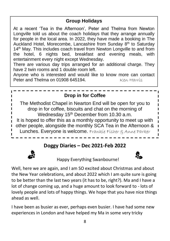## **Group Holidays**

At a recent 'Tea in the Afternoon', Peter and Thelma from Newton Longville told us about the coach holidays that they arrange annually for people in the local area. In 2022, they have made a booking in The Auckland Hotel, Morecombe, Lancashire from Sunday 8<sup>th</sup> to Saturday 14<sup>th</sup> May. This includes coach travel from Newton Longville to and from the hotel, 6 nights bed, breakfast and evening meals, with entertainment every night except Wednesday.

There are various day trips arranged for an additional charge. They have 2 twin rooms and 1 double room left.

Anyone who is interested and would like to know more can contact Peter and Thelma on 01908 645194. Ken Harris



# **Doggy Diaries – Dec 2021-Feb 2022**



Happy Everything Swanbourne!



Well, here we are again, and I am SO excited about Christmas and about the New Year celebrations, and about 2022 which I am quite sure is going to be better than the last two years (it has to be, right?). Ma and I have a lot of change coming up, and a huge amount to look forward to - lots of lovely people and lots of happy things. We hope that you have nice things ahead as well.

I have been as busier as ever, perhaps even busier. I have had some new experiences in London and have helped my Ma in some very tricky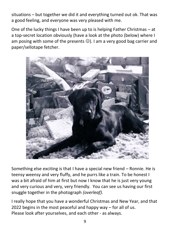situations – but together we did it and everything turned out ok. That was a good feeling, and everyone was very pleased with me.

One of the lucky things I have been up to is helping Father Christmas – at a top-secret location obviously (have a look at the photo (below) where I am posing with some of the presents  $\odot$ ). I am a very good bag carrier and paper/sellotape fetcher.



Something else exciting is that I have a special new friend – Ronnie. He is teensy weensy and very fluffy, and he purrs like a train. To be honest I was a bit afraid of him at first but now I know that he is just very young and very curious and very, very friendly. You can see us having our first snuggle together in the photograph *(overleaf).*

I really hope that you have a wonderful Christmas and New Year, and that 2022 begins in the most peaceful and happy way – for all of us. Please look after yourselves, and each other - as always.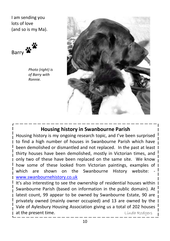I am sending you lots of love (and so is my Ma).



*Photo (right) is of Barry with Ronnie.*



# **Housing history in Swanbourne Parish**

Housing history is my ongoing research topic, and I've been surprised to find a high number of houses in Swanbourne Parish which have been demolished or dismantled and not replaced. In the past at least thirty houses have been demolished, mostly in Victorian times, and only two of these have been replaced on the same site. We know how some of these looked from Victorian paintings, examples of which are shown on the Swanbourne History website: [www.swanbournehistory.co.uk](http://www.swanbournehistory.co.uk/)

It's also interesting to see the ownership of residential houses within Swanbourne Parish (based on information in the public domain). At latest count, 99 appear to be owned by Swanbourne Estate, 90 are privately owned (mainly owner occupied) and 13 are owned by the Vale of Aylesbury Housing Association giving us a total of 202 houses at the present time. The set of the present time.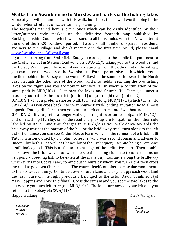#### **Walks from Swanbourne to Mursley and back via the fishing lakes**

Some of you will be familiar with this walk, but if not, this is well worth doing in the winter when stretches of water can be glistening.

The footpaths named here are the ones which can be easily identified by their letter/number code marked on the definitive footpath map published by Buckinghamshire Council which was issued to all households with the Newsletter at the end of the 2020 lockdown period. I have a small number of spares if residents are new to the village and didn't receive one the first time round; please email [www.Swanbourne13@gmail.com](http://www.Swanbourne13@gmail.com)

If you are starting from Smithfield End, you can begin at the public footpath next to the C. of E. School in Station Road which is SWA/11/1 taking you to the wood behind the Betsey Wynne pub. However, if you are starting from the other end of the village, you can enter the wood via the Swanbourne Estate permissive path which crosses the field behind the Betsey to the wood. Following the same path towards the North East through the other side of the wood (and into fields) reaching the two fishing lakes on the right, and you are now in Mursley Parish where a continuation of the same path is MUR/10/1. Just past the lakes and Church Hill Farm you meet a crossing footpath. Either turn left (option 1) or go straight over (option 2).

**OPTION 1** - If you prefer a shorter walk turn left along MUR/11/1 (which turns into SWA/14/2 as you cross back into Swanbourne Parish) ending at Station Road almost opposite Dodley Hill Farm, then you can turn left and back into Swanbourne.

**OPTION 2** - If you prefer a longer walk, go straight over on to footpath MUR/12/1 and on reaching Mursley, cross the road and pick up the footpath on the other side labelled MUR/2/3, and this changes to MUR/3/2 as you walk down towards the bridleway track at the bottom of the hill. At the bridleway track turn along to the left a short distance you can see Salden House Farm which is the remnant of a brick-built Tutor mansion owned by Sir John Fortescue (who was second cousin and adviser to Queen Elizabeth  $1^{st}$  as well as Chancellor of the Exchequer). Despite being a remnant, it still looks good. This is at the top right edge of the definitive map. Then double back down the bridleway southwards to see the fishing club lake (once the mansion fish pond - breeding fish to be eaten at the mansion). Continue along the bridleway which turns into Cooks Lane, coming out in Mursley where you turn right then cross the road to go down Church Lane. The church itself contains spectacular monuments to the Fortescue family. Continue down Church Lane and as you approach woodland the last house on the right previously belonged to the actor David Tomlinson (of Mary Poppins and Love Bug films). Cross the stream and you see the two lakes to the left where you turn left to re-join MUR/10/1. The lakes are now on your left and you return to the Betsey via SWA/11/1.

*Fortescue mansion remnant*



Happy walking! Each control of the Clive Rodgers and Clive Rodgers and Clive Rodgers

*David Tomlinson*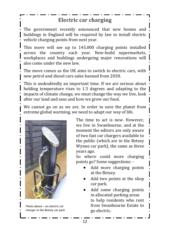# **Electric car charging**

The government recently announced that new homes and buildings in England will be required by law to install electric vehicle charging points from next year.

This move will see up to 145,000 charging points installed across the country each year. New-build supermarkets, workplaces and buildings undergoing major renovations will also come under the new law.

The move comes as the UK aims to switch to electric cars, with new petrol and diesel cars sales banned from 2030.

This is undoubtedly an important time. If we are serious about holding temperature rises to 1.5 degrees and adapting to the impacts of climate change, we must change the way we live, look after our land and seas and how we grow our food.

We cannot go on as we are. In order to save the planet from extreme global warming, we need to adapt our way of life.



*Photo above – an electric car charger in the Betsey car park*

The time to act is now. However, we live in Swanbourne, and at the moment the editors are only aware of two fast car chargers available to the public (which are in the Betsey Wynne car park), the same as three years ago.

So where could more charging points go? Some suggestions: -

- Add more charging points at the Betsey.
- Add two points at the shop car park.
- Add some charging points in allocated parking areas to help residents who rent from Swanbourne Estate to go electric.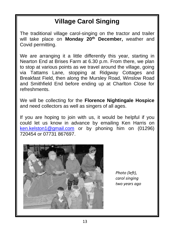# **Village Carol Singing**

The traditional village carol-singing on the tractor and trailer will take place on **Monday 20th December,** weather and Covid permitting.

We are arranging it a little differently this year, starting in Nearton End at Brises Farm at 6.30 p.m. From there, we plan to stop at various points as we travel around the village, going via Tattams Lane, stopping at Ridgway Cottages and Breakfast Field, then along the Mursley Road, Winslow Road and Smithfield End before ending up at Charlton Close for refreshments.

We will be collecting for the **Florence Nightingale Hospice** and need collectors as well as singers of all ages.

If you are hoping to join with us, it would be helpful if you could let us know in advance by emailing Ken Harris on [ken.kelston1@gmail.com](mailto:ken.kelston1@gmail.com) or by phoning him on (01296) 720454 or 07731 867697.



*Photo (left), carol singing two years ago*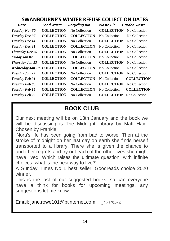#### **SWANBOURNE'S WINTER REFUSE COLLECTION DATES**

| Date                   | <b>Food waste</b> | <b>Recycling Bin</b> | Waste Bin                       | Garden waste      |
|------------------------|-------------------|----------------------|---------------------------------|-------------------|
| Tuesday Nov 30         | <b>COLLECTION</b> | No Collection        | <b>COLLECTION</b>               | No Collection     |
| Tuesday Dec 07         | <b>COLLECTION</b> | <b>COLLECTION</b>    | No Collection                   | No Collection     |
| <b>Tuesday Dec 14</b>  | <b>COLLECTION</b> | No Collection        | <b>COLLECTION</b>               | No Collection     |
| Tuesday Dec 21         | <b>COLLECTION</b> | <b>COLLECTION</b>    | No Collection                   | No Collection     |
| <b>Thursday Dec 30</b> | <b>COLLECTION</b> | No Collection        | <b>COLLECTION</b>               | No Collection     |
| Friday Jan 07          | <b>COLLECTION</b> | <b>COLLECTION</b>    | No Collection                   | No Collection     |
| Thursday Jan 13        | <b>COLLECTION</b> | No Collection        | <b>COLLECTION</b>               | No Collection     |
| Wednesday Jan 19       | <b>COLLECTION</b> | <b>COLLECTION</b>    | No Collection                   | No Collection     |
| Tuesday Jan 25         | <b>COLLECTION</b> | No Collection        | <b>COLLECTION</b>               | No Collection     |
| Tuesday Feb 01         | <b>COLLECTION</b> | <b>COLLECTION</b>    | No Collection                   | <b>COLLECTION</b> |
| Tuesday Feb 08         | <b>COLLECTION</b> | No Collection        | <b>COLLECTION</b>               | No Collection     |
| Tuesday Feb 15         | <b>COLLECTION</b> | <b>COLLECTION</b>    | No Collection                   | <b>COLLECTION</b> |
| Tuesday Feb 22         | <b>COLLECTION</b> | No Collection        | <b>COLLECTION</b> No Collection |                   |

# **BOOK CLUB**

Our next meeting will be on 18th January and the book we will be discussing is The Midnight Library by Matt Haig. Chosen by Frankie.

'Nora's life has been going from bad to worse. Then at the stroke of midnight on her last day on earth she finds herself transported to a library. There she is given the chance to undo her regrets and try out each of the other lives she might have lived. Which raises the ultimate question: with infinite choices, what is the best way to live?'

A Sunday Times No 1 best seller, Goodreads choice 2020 winner.

This is the last of our suggested books, so can everyone have a think for books for upcoming meetings, any suggestions let me know.

Email: jane.rowe101@btinternet.com Jane Rowe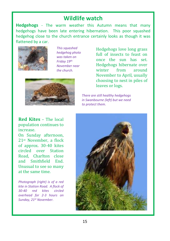## **Wildlife watch**

**Hedgehogs** - The warm weather this Autumn means that many hedgehogs have been late entering hibernation. This poor squashed hedgehog close to the church entrance certainly looks as though it was flattened by a car.



*This squashed hedgehog photo was taken on Friday 19th November near the church.*



Hedgehogs love long grass full of insects to feast on once the sun has set. Hedgehogs hibernate over winter from around November to April, usually choosing to nest in piles of leaves or logs.

*There are still healthy hedgehogs in Swanbourne (left) but we need to protect them.*

**Red Kites** – The local population continues to increase.

On Sunday afternoon, 21st November, a flock of approx. 30-40 kites circled over Station Road, Charlton close and Smithfield End. Unusual to see so many at the same time.

*Photograph (right) is of a red kite in Station Road. A flock of 30-40 red kites circled overhead for 2-3 hours on Sunday, 21st November.*